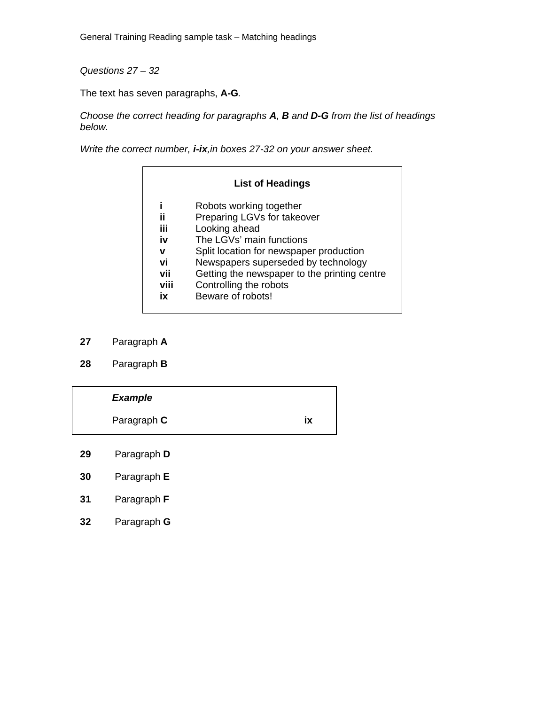General Training Reading sample task – Matching headings

*Questions 27 – 32* 

The text has seven paragraphs, **A-G***.* 

*Choose the correct heading for paragraphs A, B and D-G from the list of headings below.* 

*Write the correct number, i-ix,in boxes 27-32 on your answer sheet.* 

| <b>List of Headings</b> |                                              |  |
|-------------------------|----------------------------------------------|--|
|                         | Robots working together                      |  |
| ii                      | Preparing LGVs for takeover                  |  |
| iii                     | Looking ahead                                |  |
| iv                      | The LGVs' main functions                     |  |
| v                       | Split location for newspaper production      |  |
| vi                      | Newspapers superseded by technology          |  |
| vii                     | Getting the newspaper to the printing centre |  |
| viii                    | Controlling the robots                       |  |
| ix                      | Beware of robots!                            |  |
|                         |                                              |  |

- **27** Paragraph **A**
- **28** Paragraph **B**

| <b>Example</b> |    |
|----------------|----|
| Paragraph C    | ix |
|                |    |

- **29** Paragraph **D**
- **30** Paragraph **E**
- **31** Paragraph **F**
- **32** Paragraph **G**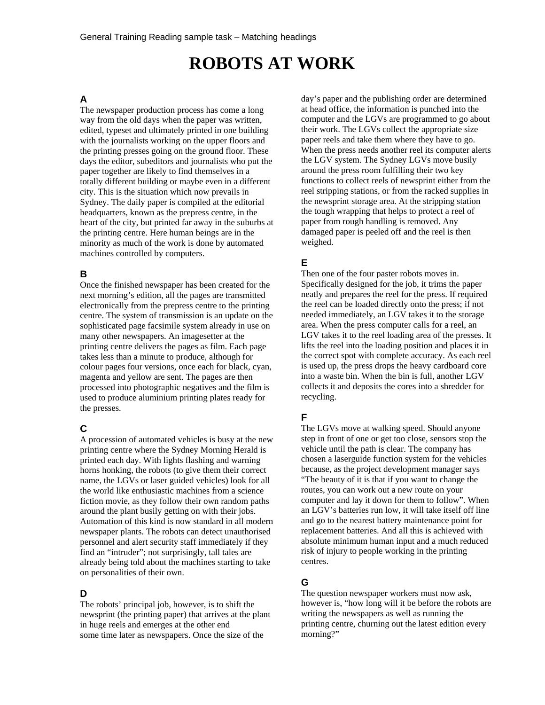# **ROBOTS AT WORK**

#### **A**

The newspaper production process has come a long way from the old days when the paper was written, edited, typeset and ultimately printed in one building with the journalists working on the upper floors and the printing presses going on the ground floor. These days the editor, subeditors and journalists who put the paper together are likely to find themselves in a totally different building or maybe even in a different city. This is the situation which now prevails in Sydney. The daily paper is compiled at the editorial headquarters, known as the prepress centre, in the heart of the city, but printed far away in the suburbs at the printing centre. Here human beings are in the minority as much of the work is done by automated machines controlled by computers.

#### **B**

Once the finished newspaper has been created for the next morning's edition, all the pages are transmitted electronically from the prepress centre to the printing centre. The system of transmission is an update on the sophisticated page facsimile system already in use on many other newspapers. An imagesetter at the printing centre delivers the pages as film. Each page takes less than a minute to produce, although for colour pages four versions, once each for black, cyan, magenta and yellow are sent. The pages are then processed into photographic negatives and the film is used to produce aluminium printing plates ready for the presses.

#### **C**

A procession of automated vehicles is busy at the new printing centre where the Sydney Morning Herald is printed each day. With lights flashing and warning horns honking, the robots (to give them their correct name, the LGVs or laser guided vehicles) look for all the world like enthusiastic machines from a science fiction movie, as they follow their own random paths around the plant busily getting on with their jobs. Automation of this kind is now standard in all modern newspaper plants. The robots can detect unauthorised personnel and alert security staff immediately if they find an "intruder"; not surprisingly, tall tales are already being told about the machines starting to take on personalities of their own.

#### **D**

The robots' principal job, however, is to shift the newsprint (the printing paper) that arrives at the plant in huge reels and emerges at the other end some time later as newspapers. Once the size of the

day's paper and the publishing order are determined at head office, the information is punched into the computer and the LGVs are programmed to go about their work. The LGVs collect the appropriate size paper reels and take them where they have to go. When the press needs another reel its computer alerts the LGV system. The Sydney LGVs move busily around the press room fulfilling their two key functions to collect reels of newsprint either from the reel stripping stations, or from the racked supplies in the newsprint storage area. At the stripping station the tough wrapping that helps to protect a reel of paper from rough handling is removed. Any damaged paper is peeled off and the reel is then weighed.

### **E**

Then one of the four paster robots moves in. Specifically designed for the job, it trims the paper neatly and prepares the reel for the press. If required the reel can be loaded directly onto the press; if not needed immediately, an LGV takes it to the storage area. When the press computer calls for a reel, an LGV takes it to the reel loading area of the presses. It lifts the reel into the loading position and places it in the correct spot with complete accuracy. As each reel is used up, the press drops the heavy cardboard core into a waste bin. When the bin is full, another LGV collects it and deposits the cores into a shredder for recycling.

#### **F**

The LGVs move at walking speed. Should anyone step in front of one or get too close, sensors stop the vehicle until the path is clear. The company has chosen a laserguide function system for the vehicles because, as the project development manager says "The beauty of it is that if you want to change the routes, you can work out a new route on your computer and lay it down for them to follow". When an LGV's batteries run low, it will take itself off line and go to the nearest battery maintenance point for replacement batteries. And all this is achieved with absolute minimum human input and a much reduced risk of injury to people working in the printing centres.

#### **G**

The question newspaper workers must now ask, however is, "how long will it be before the robots are writing the newspapers as well as running the printing centre, churning out the latest edition every morning?"